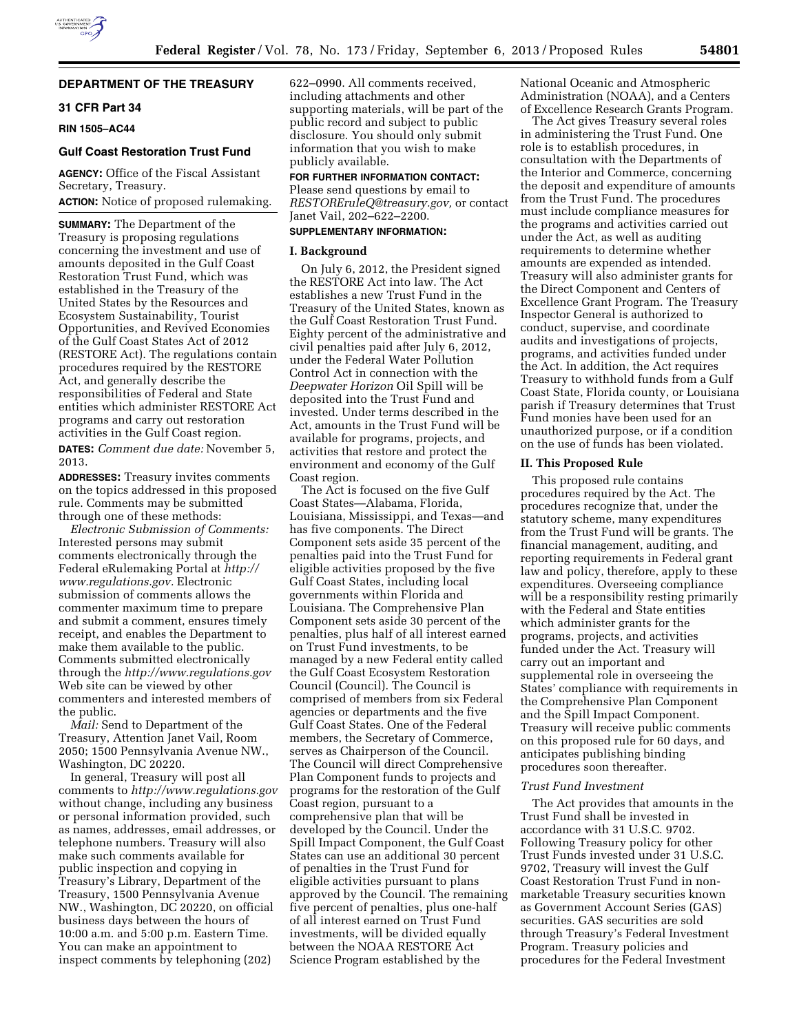## **DEPARTMENT OF THE TREASURY**

## **31 CFR Part 34**

**RIN 1505–AC44** 

## **Gulf Coast Restoration Trust Fund**

**AGENCY:** Office of the Fiscal Assistant Secretary, Treasury.

**ACTION:** Notice of proposed rulemaking.

**SUMMARY:** The Department of the Treasury is proposing regulations concerning the investment and use of amounts deposited in the Gulf Coast Restoration Trust Fund, which was established in the Treasury of the United States by the Resources and Ecosystem Sustainability, Tourist Opportunities, and Revived Economies of the Gulf Coast States Act of 2012 (RESTORE Act). The regulations contain procedures required by the RESTORE Act, and generally describe the responsibilities of Federal and State entities which administer RESTORE Act programs and carry out restoration activities in the Gulf Coast region.

**DATES:** *Comment due date:* November 5, 2013.

**ADDRESSES:** Treasury invites comments on the topics addressed in this proposed rule. Comments may be submitted through one of these methods:

*Electronic Submission of Comments:*  Interested persons may submit comments electronically through the Federal eRulemaking Portal at *[http://](http://www.regulations.gov) [www.regulations.gov.](http://www.regulations.gov)* Electronic submission of comments allows the commenter maximum time to prepare and submit a comment, ensures timely receipt, and enables the Department to make them available to the public. Comments submitted electronically through the *<http://www.regulations.gov>* Web site can be viewed by other commenters and interested members of the public.

*Mail:* Send to Department of the Treasury, Attention Janet Vail, Room 2050; 1500 Pennsylvania Avenue NW., Washington, DC 20220.

In general, Treasury will post all comments to *<http://www.regulations.gov>* without change, including any business or personal information provided, such as names, addresses, email addresses, or telephone numbers. Treasury will also make such comments available for public inspection and copying in Treasury's Library, Department of the Treasury, 1500 Pennsylvania Avenue NW., Washington, DC 20220, on official business days between the hours of 10:00 a.m. and 5:00 p.m. Eastern Time. You can make an appointment to inspect comments by telephoning (202)

622–0990. All comments received, including attachments and other supporting materials, will be part of the public record and subject to public disclosure. You should only submit information that you wish to make publicly available.

## **FOR FURTHER INFORMATION CONTACT:**  Please send questions by email to

*[RESTOREruleQ@treasury.gov,](mailto:RESTOREruleQ@treasury.gov)* or contact Janet Vail, 202–622–2200.

# **SUPPLEMENTARY INFORMATION:**

## **I. Background**

On July 6, 2012, the President signed the RESTORE Act into law. The Act establishes a new Trust Fund in the Treasury of the United States, known as the Gulf Coast Restoration Trust Fund. Eighty percent of the administrative and civil penalties paid after July 6, 2012, under the Federal Water Pollution Control Act in connection with the *Deepwater Horizon* Oil Spill will be deposited into the Trust Fund and invested. Under terms described in the Act, amounts in the Trust Fund will be available for programs, projects, and activities that restore and protect the environment and economy of the Gulf Coast region.

The Act is focused on the five Gulf Coast States—Alabama, Florida, Louisiana, Mississippi, and Texas—and has five components. The Direct Component sets aside 35 percent of the penalties paid into the Trust Fund for eligible activities proposed by the five Gulf Coast States, including local governments within Florida and Louisiana. The Comprehensive Plan Component sets aside 30 percent of the penalties, plus half of all interest earned on Trust Fund investments, to be managed by a new Federal entity called the Gulf Coast Ecosystem Restoration Council (Council). The Council is comprised of members from six Federal agencies or departments and the five Gulf Coast States. One of the Federal members, the Secretary of Commerce, serves as Chairperson of the Council. The Council will direct Comprehensive Plan Component funds to projects and programs for the restoration of the Gulf Coast region, pursuant to a comprehensive plan that will be developed by the Council. Under the Spill Impact Component, the Gulf Coast States can use an additional 30 percent of penalties in the Trust Fund for eligible activities pursuant to plans approved by the Council. The remaining five percent of penalties, plus one-half of all interest earned on Trust Fund investments, will be divided equally between the NOAA RESTORE Act Science Program established by the

National Oceanic and Atmospheric Administration (NOAA), and a Centers of Excellence Research Grants Program.

The Act gives Treasury several roles in administering the Trust Fund. One role is to establish procedures, in consultation with the Departments of the Interior and Commerce, concerning the deposit and expenditure of amounts from the Trust Fund. The procedures must include compliance measures for the programs and activities carried out under the Act, as well as auditing requirements to determine whether amounts are expended as intended. Treasury will also administer grants for the Direct Component and Centers of Excellence Grant Program. The Treasury Inspector General is authorized to conduct, supervise, and coordinate audits and investigations of projects, programs, and activities funded under the Act. In addition, the Act requires Treasury to withhold funds from a Gulf Coast State, Florida county, or Louisiana parish if Treasury determines that Trust Fund monies have been used for an unauthorized purpose, or if a condition on the use of funds has been violated.

### **II. This Proposed Rule**

This proposed rule contains procedures required by the Act. The procedures recognize that, under the statutory scheme, many expenditures from the Trust Fund will be grants. The financial management, auditing, and reporting requirements in Federal grant law and policy, therefore, apply to these expenditures. Overseeing compliance will be a responsibility resting primarily with the Federal and State entities which administer grants for the programs, projects, and activities funded under the Act. Treasury will carry out an important and supplemental role in overseeing the States' compliance with requirements in the Comprehensive Plan Component and the Spill Impact Component. Treasury will receive public comments on this proposed rule for 60 days, and anticipates publishing binding procedures soon thereafter.

### *Trust Fund Investment*

The Act provides that amounts in the Trust Fund shall be invested in accordance with 31 U.S.C. 9702. Following Treasury policy for other Trust Funds invested under 31 U.S.C. 9702, Treasury will invest the Gulf Coast Restoration Trust Fund in nonmarketable Treasury securities known as Government Account Series (GAS) securities. GAS securities are sold through Treasury's Federal Investment Program. Treasury policies and procedures for the Federal Investment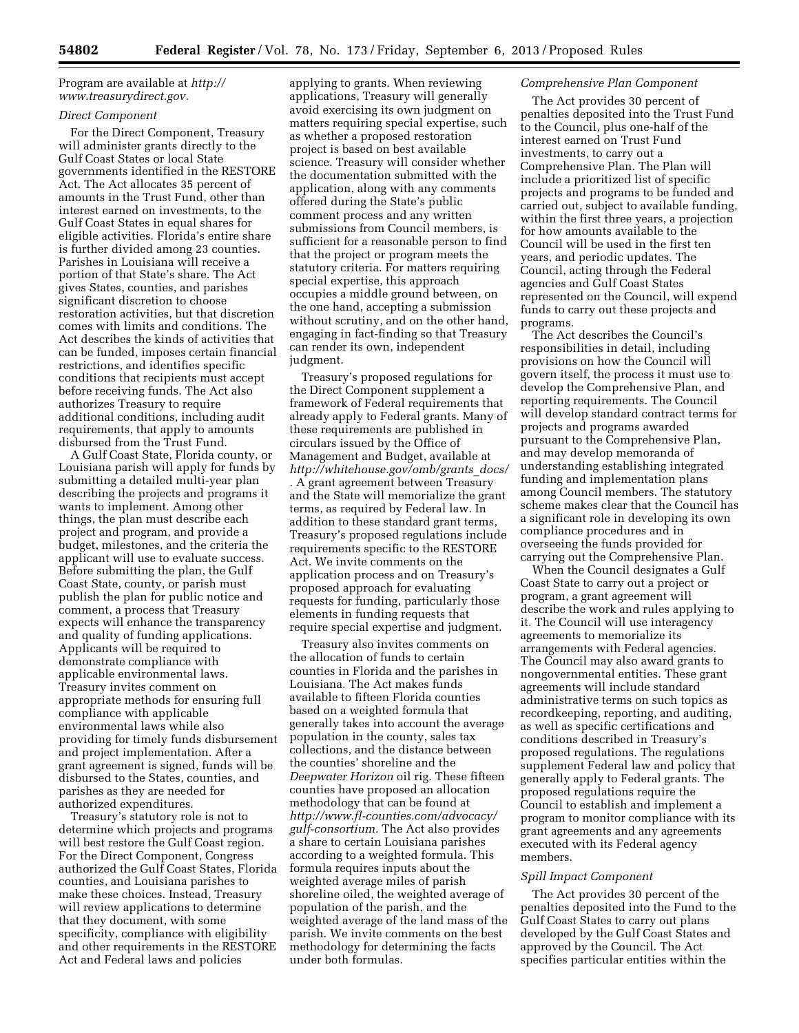Program are available at *[http://](http://www.treasurydirect.gov) [www.treasurydirect.gov.](http://www.treasurydirect.gov)* 

### *Direct Component*

For the Direct Component, Treasury will administer grants directly to the Gulf Coast States or local State governments identified in the RESTORE Act. The Act allocates 35 percent of amounts in the Trust Fund, other than interest earned on investments, to the Gulf Coast States in equal shares for eligible activities. Florida's entire share is further divided among 23 counties. Parishes in Louisiana will receive a portion of that State's share. The Act gives States, counties, and parishes significant discretion to choose restoration activities, but that discretion comes with limits and conditions. The Act describes the kinds of activities that can be funded, imposes certain financial restrictions, and identifies specific conditions that recipients must accept before receiving funds. The Act also authorizes Treasury to require additional conditions, including audit requirements, that apply to amounts disbursed from the Trust Fund.

A Gulf Coast State, Florida county, or Louisiana parish will apply for funds by submitting a detailed multi-year plan describing the projects and programs it wants to implement. Among other things, the plan must describe each project and program, and provide a budget, milestones, and the criteria the applicant will use to evaluate success. Before submitting the plan, the Gulf Coast State, county, or parish must publish the plan for public notice and comment, a process that Treasury expects will enhance the transparency and quality of funding applications. Applicants will be required to demonstrate compliance with applicable environmental laws. Treasury invites comment on appropriate methods for ensuring full compliance with applicable environmental laws while also providing for timely funds disbursement and project implementation. After a grant agreement is signed, funds will be disbursed to the States, counties, and parishes as they are needed for authorized expenditures.

Treasury's statutory role is not to determine which projects and programs will best restore the Gulf Coast region. For the Direct Component, Congress authorized the Gulf Coast States, Florida counties, and Louisiana parishes to make these choices. Instead, Treasury will review applications to determine that they document, with some specificity, compliance with eligibility and other requirements in the RESTORE Act and Federal laws and policies

applying to grants. When reviewing applications, Treasury will generally avoid exercising its own judgment on matters requiring special expertise, such as whether a proposed restoration project is based on best available science. Treasury will consider whether the documentation submitted with the application, along with any comments offered during the State's public comment process and any written submissions from Council members, is sufficient for a reasonable person to find that the project or program meets the statutory criteria. For matters requiring special expertise, this approach occupies a middle ground between, on the one hand, accepting a submission without scrutiny, and on the other hand, engaging in fact-finding so that Treasury can render its own, independent judgment.

Treasury's proposed regulations for the Direct Component supplement a framework of Federal requirements that already apply to Federal grants. Many of these requirements are published in circulars issued by the Office of Management and Budget, available at *[http://whitehouse.gov/omb/grants](http://whitehouse.gov/omb/grants_docs/)*\_*docs/ .* A grant agreement between Treasury and the State will memorialize the grant terms, as required by Federal law. In addition to these standard grant terms, Treasury's proposed regulations include requirements specific to the RESTORE Act. We invite comments on the application process and on Treasury's proposed approach for evaluating requests for funding, particularly those elements in funding requests that require special expertise and judgment.

Treasury also invites comments on the allocation of funds to certain counties in Florida and the parishes in Louisiana. The Act makes funds available to fifteen Florida counties based on a weighted formula that generally takes into account the average population in the county, sales tax collections, and the distance between the counties' shoreline and the *Deepwater Horizon* oil rig. These fifteen counties have proposed an allocation methodology that can be found at *[http://www.fl-counties.com/advocacy/](http://www.fl-counties.com/advocacy/gulf-consortium) [gulf-consortium.](http://www.fl-counties.com/advocacy/gulf-consortium)* The Act also provides a share to certain Louisiana parishes according to a weighted formula. This formula requires inputs about the weighted average miles of parish shoreline oiled, the weighted average of population of the parish, and the weighted average of the land mass of the parish. We invite comments on the best methodology for determining the facts under both formulas.

## *Comprehensive Plan Component*

The Act provides 30 percent of penalties deposited into the Trust Fund to the Council, plus one-half of the interest earned on Trust Fund investments, to carry out a Comprehensive Plan. The Plan will include a prioritized list of specific projects and programs to be funded and carried out, subject to available funding, within the first three years, a projection for how amounts available to the Council will be used in the first ten years, and periodic updates. The Council, acting through the Federal agencies and Gulf Coast States represented on the Council, will expend funds to carry out these projects and programs.

The Act describes the Council's responsibilities in detail, including provisions on how the Council will govern itself, the process it must use to develop the Comprehensive Plan, and reporting requirements. The Council will develop standard contract terms for projects and programs awarded pursuant to the Comprehensive Plan, and may develop memoranda of understanding establishing integrated funding and implementation plans among Council members. The statutory scheme makes clear that the Council has a significant role in developing its own compliance procedures and in overseeing the funds provided for carrying out the Comprehensive Plan.

When the Council designates a Gulf Coast State to carry out a project or program, a grant agreement will describe the work and rules applying to it. The Council will use interagency agreements to memorialize its arrangements with Federal agencies. The Council may also award grants to nongovernmental entities. These grant agreements will include standard administrative terms on such topics as recordkeeping, reporting, and auditing, as well as specific certifications and conditions described in Treasury's proposed regulations. The regulations supplement Federal law and policy that generally apply to Federal grants. The proposed regulations require the Council to establish and implement a program to monitor compliance with its grant agreements and any agreements executed with its Federal agency members.

### *Spill Impact Component*

The Act provides 30 percent of the penalties deposited into the Fund to the Gulf Coast States to carry out plans developed by the Gulf Coast States and approved by the Council. The Act specifies particular entities within the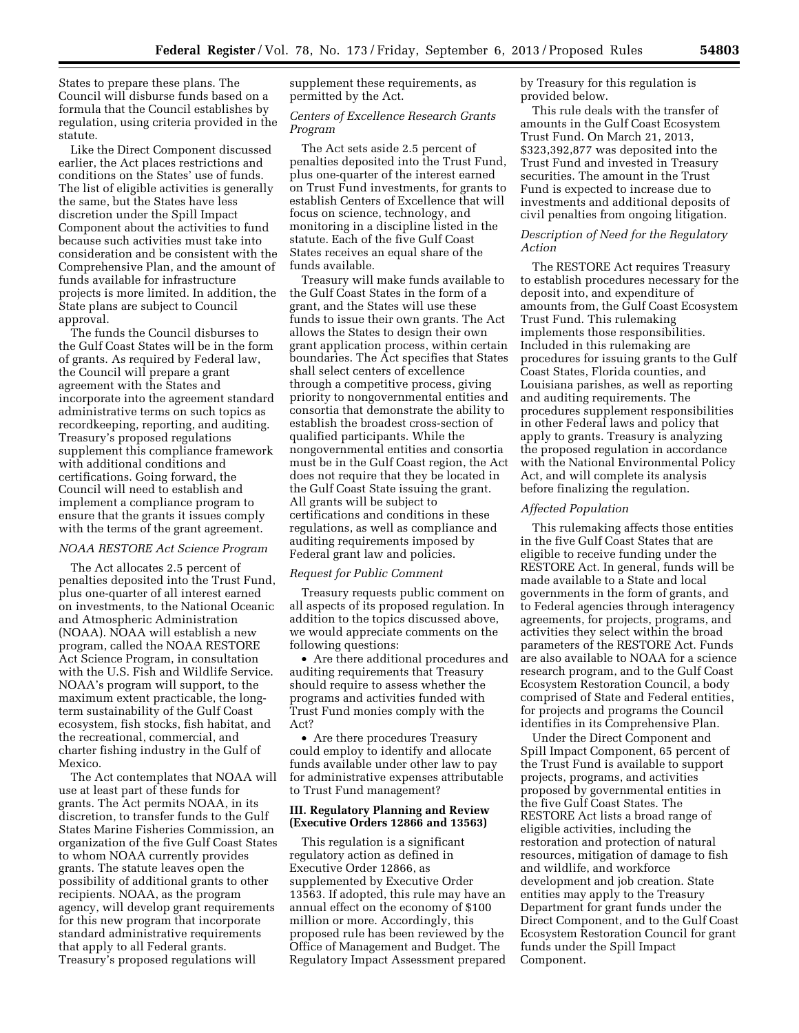States to prepare these plans. The Council will disburse funds based on a formula that the Council establishes by regulation, using criteria provided in the statute.

Like the Direct Component discussed earlier, the Act places restrictions and conditions on the States' use of funds. The list of eligible activities is generally the same, but the States have less discretion under the Spill Impact Component about the activities to fund because such activities must take into consideration and be consistent with the Comprehensive Plan, and the amount of funds available for infrastructure projects is more limited. In addition, the State plans are subject to Council approval.

The funds the Council disburses to the Gulf Coast States will be in the form of grants. As required by Federal law, the Council will prepare a grant agreement with the States and incorporate into the agreement standard administrative terms on such topics as recordkeeping, reporting, and auditing. Treasury's proposed regulations supplement this compliance framework with additional conditions and certifications. Going forward, the Council will need to establish and implement a compliance program to ensure that the grants it issues comply with the terms of the grant agreement.

### *NOAA RESTORE Act Science Program*

The Act allocates 2.5 percent of penalties deposited into the Trust Fund, plus one-quarter of all interest earned on investments, to the National Oceanic and Atmospheric Administration (NOAA). NOAA will establish a new program, called the NOAA RESTORE Act Science Program, in consultation with the U.S. Fish and Wildlife Service. NOAA's program will support, to the maximum extent practicable, the longterm sustainability of the Gulf Coast ecosystem, fish stocks, fish habitat, and the recreational, commercial, and charter fishing industry in the Gulf of Mexico.

The Act contemplates that NOAA will use at least part of these funds for grants. The Act permits NOAA, in its discretion, to transfer funds to the Gulf States Marine Fisheries Commission, an organization of the five Gulf Coast States to whom NOAA currently provides grants. The statute leaves open the possibility of additional grants to other recipients. NOAA, as the program agency, will develop grant requirements for this new program that incorporate standard administrative requirements that apply to all Federal grants. Treasury's proposed regulations will

supplement these requirements, as permitted by the Act.

### *Centers of Excellence Research Grants Program*

The Act sets aside 2.5 percent of penalties deposited into the Trust Fund, plus one-quarter of the interest earned on Trust Fund investments, for grants to establish Centers of Excellence that will focus on science, technology, and monitoring in a discipline listed in the statute. Each of the five Gulf Coast States receives an equal share of the funds available.

Treasury will make funds available to the Gulf Coast States in the form of a grant, and the States will use these funds to issue their own grants. The Act allows the States to design their own grant application process, within certain boundaries. The Act specifies that States shall select centers of excellence through a competitive process, giving priority to nongovernmental entities and consortia that demonstrate the ability to establish the broadest cross-section of qualified participants. While the nongovernmental entities and consortia must be in the Gulf Coast region, the Act does not require that they be located in the Gulf Coast State issuing the grant. All grants will be subject to certifications and conditions in these regulations, as well as compliance and auditing requirements imposed by Federal grant law and policies.

#### *Request for Public Comment*

Treasury requests public comment on all aspects of its proposed regulation. In addition to the topics discussed above, we would appreciate comments on the following questions:

• Are there additional procedures and auditing requirements that Treasury should require to assess whether the programs and activities funded with Trust Fund monies comply with the Act?

• Are there procedures Treasury could employ to identify and allocate funds available under other law to pay for administrative expenses attributable to Trust Fund management?

## **III. Regulatory Planning and Review (Executive Orders 12866 and 13563)**

This regulation is a significant regulatory action as defined in Executive Order 12866, as supplemented by Executive Order 13563. If adopted, this rule may have an annual effect on the economy of \$100 million or more. Accordingly, this proposed rule has been reviewed by the Office of Management and Budget. The Regulatory Impact Assessment prepared

by Treasury for this regulation is provided below.

This rule deals with the transfer of amounts in the Gulf Coast Ecosystem Trust Fund. On March 21, 2013, \$323,392,877 was deposited into the Trust Fund and invested in Treasury securities. The amount in the Trust Fund is expected to increase due to investments and additional deposits of civil penalties from ongoing litigation.

## *Description of Need for the Regulatory Action*

The RESTORE Act requires Treasury to establish procedures necessary for the deposit into, and expenditure of amounts from, the Gulf Coast Ecosystem Trust Fund. This rulemaking implements those responsibilities. Included in this rulemaking are procedures for issuing grants to the Gulf Coast States, Florida counties, and Louisiana parishes, as well as reporting and auditing requirements. The procedures supplement responsibilities in other Federal laws and policy that apply to grants. Treasury is analyzing the proposed regulation in accordance with the National Environmental Policy Act, and will complete its analysis before finalizing the regulation.

### *Affected Population*

This rulemaking affects those entities in the five Gulf Coast States that are eligible to receive funding under the RESTORE Act. In general, funds will be made available to a State and local governments in the form of grants, and to Federal agencies through interagency agreements, for projects, programs, and activities they select within the broad parameters of the RESTORE Act. Funds are also available to NOAA for a science research program, and to the Gulf Coast Ecosystem Restoration Council, a body comprised of State and Federal entities, for projects and programs the Council identifies in its Comprehensive Plan.

Under the Direct Component and Spill Impact Component, 65 percent of the Trust Fund is available to support projects, programs, and activities proposed by governmental entities in the five Gulf Coast States. The RESTORE Act lists a broad range of eligible activities, including the restoration and protection of natural resources, mitigation of damage to fish and wildlife, and workforce development and job creation. State entities may apply to the Treasury Department for grant funds under the Direct Component, and to the Gulf Coast Ecosystem Restoration Council for grant funds under the Spill Impact Component.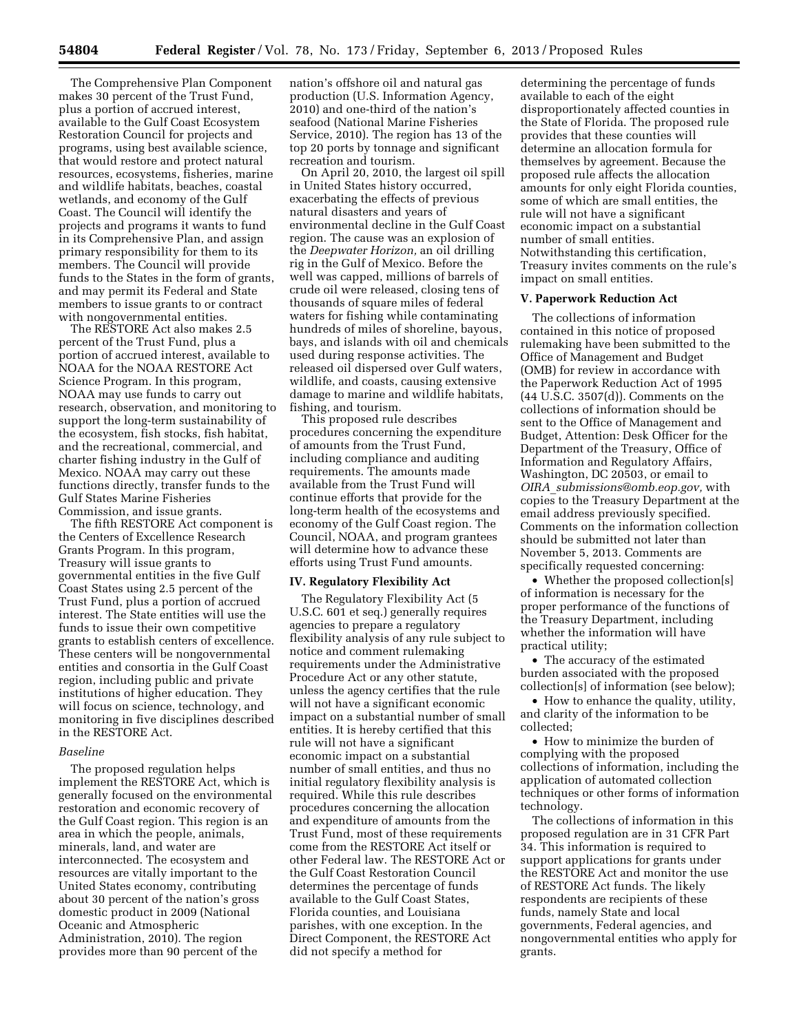The Comprehensive Plan Component makes 30 percent of the Trust Fund, plus a portion of accrued interest, available to the Gulf Coast Ecosystem Restoration Council for projects and programs, using best available science, that would restore and protect natural resources, ecosystems, fisheries, marine and wildlife habitats, beaches, coastal wetlands, and economy of the Gulf Coast. The Council will identify the projects and programs it wants to fund in its Comprehensive Plan, and assign primary responsibility for them to its members. The Council will provide funds to the States in the form of grants, and may permit its Federal and State members to issue grants to or contract with nongovernmental entities.

The RESTORE Act also makes 2.5 percent of the Trust Fund, plus a portion of accrued interest, available to NOAA for the NOAA RESTORE Act Science Program. In this program, NOAA may use funds to carry out research, observation, and monitoring to support the long-term sustainability of the ecosystem, fish stocks, fish habitat, and the recreational, commercial, and charter fishing industry in the Gulf of Mexico. NOAA may carry out these functions directly, transfer funds to the Gulf States Marine Fisheries Commission, and issue grants.

The fifth RESTORE Act component is the Centers of Excellence Research Grants Program. In this program, Treasury will issue grants to governmental entities in the five Gulf Coast States using 2.5 percent of the Trust Fund, plus a portion of accrued interest. The State entities will use the funds to issue their own competitive grants to establish centers of excellence. These centers will be nongovernmental entities and consortia in the Gulf Coast region, including public and private institutions of higher education. They will focus on science, technology, and monitoring in five disciplines described in the RESTORE Act.

### *Baseline*

The proposed regulation helps implement the RESTORE Act, which is generally focused on the environmental restoration and economic recovery of the Gulf Coast region. This region is an area in which the people, animals, minerals, land, and water are interconnected. The ecosystem and resources are vitally important to the United States economy, contributing about 30 percent of the nation's gross domestic product in 2009 (National Oceanic and Atmospheric Administration, 2010). The region provides more than 90 percent of the

nation's offshore oil and natural gas production (U.S. Information Agency, 2010) and one-third of the nation's seafood (National Marine Fisheries Service, 2010). The region has 13 of the top 20 ports by tonnage and significant recreation and tourism.

On April 20, 2010, the largest oil spill in United States history occurred, exacerbating the effects of previous natural disasters and years of environmental decline in the Gulf Coast region. The cause was an explosion of the *Deepwater Horizon,* an oil drilling rig in the Gulf of Mexico. Before the well was capped, millions of barrels of crude oil were released, closing tens of thousands of square miles of federal waters for fishing while contaminating hundreds of miles of shoreline, bayous, bays, and islands with oil and chemicals used during response activities. The released oil dispersed over Gulf waters, wildlife, and coasts, causing extensive damage to marine and wildlife habitats, fishing, and tourism.

This proposed rule describes procedures concerning the expenditure of amounts from the Trust Fund, including compliance and auditing requirements. The amounts made available from the Trust Fund will continue efforts that provide for the long-term health of the ecosystems and economy of the Gulf Coast region. The Council, NOAA, and program grantees will determine how to advance these efforts using Trust Fund amounts.

### **IV. Regulatory Flexibility Act**

The Regulatory Flexibility Act (5 U.S.C. 601 et seq.) generally requires agencies to prepare a regulatory flexibility analysis of any rule subject to notice and comment rulemaking requirements under the Administrative Procedure Act or any other statute, unless the agency certifies that the rule will not have a significant economic impact on a substantial number of small entities. It is hereby certified that this rule will not have a significant economic impact on a substantial number of small entities, and thus no initial regulatory flexibility analysis is required. While this rule describes procedures concerning the allocation and expenditure of amounts from the Trust Fund, most of these requirements come from the RESTORE Act itself or other Federal law. The RESTORE Act or the Gulf Coast Restoration Council determines the percentage of funds available to the Gulf Coast States, Florida counties, and Louisiana parishes, with one exception. In the Direct Component, the RESTORE Act did not specify a method for

determining the percentage of funds available to each of the eight disproportionately affected counties in the State of Florida. The proposed rule provides that these counties will determine an allocation formula for themselves by agreement. Because the proposed rule affects the allocation amounts for only eight Florida counties, some of which are small entities, the rule will not have a significant economic impact on a substantial number of small entities. Notwithstanding this certification, Treasury invites comments on the rule's impact on small entities.

## **V. Paperwork Reduction Act**

The collections of information contained in this notice of proposed rulemaking have been submitted to the Office of Management and Budget (OMB) for review in accordance with the Paperwork Reduction Act of 1995 (44 U.S.C. 3507(d)). Comments on the collections of information should be sent to the Office of Management and Budget, Attention: Desk Officer for the Department of the Treasury, Office of Information and Regulatory Affairs, Washington, DC 20503, or email to *OIRA*\_*[submissions@omb.eop.gov,](mailto:OIRA_submissions@omb.eop.gov)* with copies to the Treasury Department at the email address previously specified. Comments on the information collection should be submitted not later than November 5, 2013. Comments are specifically requested concerning:

• Whether the proposed collection[s] of information is necessary for the proper performance of the functions of the Treasury Department, including whether the information will have practical utility;

• The accuracy of the estimated burden associated with the proposed collection[s] of information (see below);

• How to enhance the quality, utility, and clarity of the information to be collected;

• How to minimize the burden of complying with the proposed collections of information, including the application of automated collection techniques or other forms of information technology.

The collections of information in this proposed regulation are in 31 CFR Part 34. This information is required to support applications for grants under the RESTORE Act and monitor the use of RESTORE Act funds. The likely respondents are recipients of these funds, namely State and local governments, Federal agencies, and nongovernmental entities who apply for grants.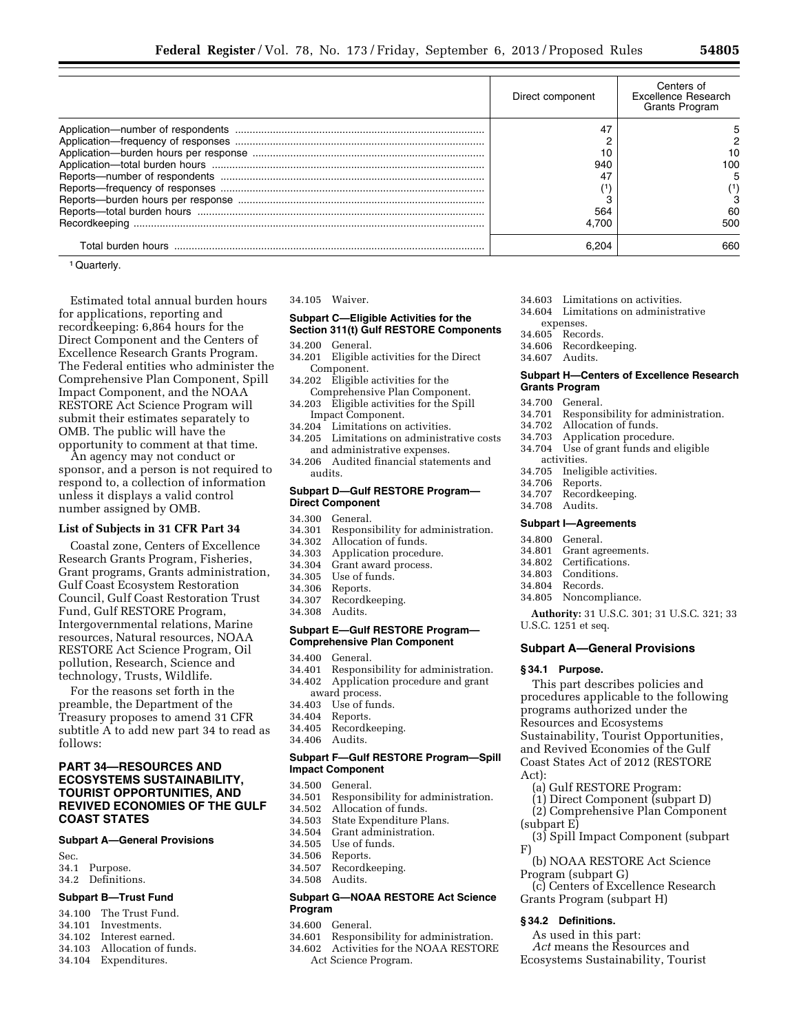| Direct component | Centers of<br>Excellence Research<br><b>Grants Program</b> |
|------------------|------------------------------------------------------------|
| 47               |                                                            |
|                  |                                                            |
| 10               |                                                            |
| 940              | 100                                                        |
|                  |                                                            |
|                  |                                                            |
|                  |                                                            |
| 564              |                                                            |
| 4.700            | 500                                                        |
| R 204            | 660                                                        |

<sup>1</sup> Quarterly.

Estimated total annual burden hours for applications, reporting and recordkeeping: 6,864 hours for the Direct Component and the Centers of Excellence Research Grants Program. The Federal entities who administer the Comprehensive Plan Component, Spill Impact Component, and the NOAA RESTORE Act Science Program will submit their estimates separately to OMB. The public will have the opportunity to comment at that time.

An agency may not conduct or sponsor, and a person is not required to respond to, a collection of information unless it displays a valid control number assigned by OMB.

### **List of Subjects in 31 CFR Part 34**

Coastal zone, Centers of Excellence Research Grants Program, Fisheries, Grant programs, Grants administration, Gulf Coast Ecosystem Restoration Council, Gulf Coast Restoration Trust Fund, Gulf RESTORE Program, Intergovernmental relations, Marine resources, Natural resources, NOAA RESTORE Act Science Program, Oil pollution, Research, Science and technology, Trusts, Wildlife.

For the reasons set forth in the preamble, the Department of the Treasury proposes to amend 31 CFR subtitle A to add new part 34 to read as follows:

## **PART 34—RESOURCES AND ECOSYSTEMS SUSTAINABILITY, TOURIST OPPORTUNITIES, AND REVIVED ECONOMIES OF THE GULF COAST STATES**

## **Subpart A—General Provisions**

- 
- Sec.<br>34.1 Purpose.
- 34.2 Definitions.

## **Subpart B—Trust Fund**

- 34.100 The Trust Fund.
- 34.101 Investments.
- 34.102 Interest earned.
- 34.103 Allocation of funds.
- 34.104 Expenditures.

### 34.105 Waiver.

### **Subpart C—Eligible Activities for the Section 311(t) Gulf RESTORE Components**

- 34.200 General.
- 34.201 Eligible activities for the Direct Component.
- 34.202 Eligible activities for the Comprehensive Plan Component.
- 34.203 Eligible activities for the Spill Impact Component.
- 34.204 Limitations on activities.
- 34.205 Limitations on administrative costs and administrative expenses.
- 34.206 Audited financial statements and audits.

### **Subpart D—Gulf RESTORE Program— Direct Component**

- 
- 34.300 General. 34.301 Responsibility for administration.
- 34.302 Allocation of funds.
- 34.303 Application procedure.<br>34.304 Grant award process.
- Grant award process.
- 34.305 Use of funds.
- 34.306 Reports.<br>34.307 Recordk
- Recordkeeping.
- 34.308 Audits.

### **Subpart E—Gulf RESTORE Program— Comprehensive Plan Component**

- 34.400 General.
- 34.401 Responsibility for administration. 34.402 Application procedure and grant
- award process.
- 34.403 Use of funds.
- Reports.
- 34.405 Recordkeeping.
- 34.406 Audits.

### **Subpart F—Gulf RESTORE Program—Spill Impact Component**

34.500 General.

- 34.501 Responsibility for administration.
- 34.502 Allocation of funds.
- State Expenditure Plans.
- 34.504 Grant administration.<br>34.505 Use of funds.
- Use of funds.
- 34.506 Reports.
- Recordkeeping.
- 34.508 Audits.

## **Subpart G—NOAA RESTORE Act Science Program**

- 34.600 General.
- 34.601 Responsibility for administration.
- 34.602 Activities for the NOAA RESTORE Act Science Program.
- 34.603 Limitations on activities.
- 34.604 Limitations on administrative
- expenses.
- 34.605 Records.
- 34.606 Recordkeeping. 34.607 Audits.
- 

### **Subpart H—Centers of Excellence Research Grants Program**

- 
- 34.700 General.<br>34.701 Respons Responsibility for administration.
- 
- 34.702 Allocation of funds. Application procedure.
- 34.704 Use of grant funds and eligible
- activities.<br>34.705 Inelig
- 34.705 Ineligible activities. Reports.
- 
- 34.707 Recordkeeping.
- 34.708 Audits.

### **Subpart I—Agreements**

- 34.800 General.<br>34.801 Grant ag
- Grant agreements.
- 34.802 Certifications.
- 34.803 Conditions.<br>34.804 Records
- Records.
- 34.805 Noncompliance.

**Authority:** 31 U.S.C. 301; 31 U.S.C. 321; 33 U.S.C. 1251 et seq.

## **Subpart A—General Provisions**

#### **§ 34.1 Purpose.**

This part describes policies and procedures applicable to the following programs authorized under the Resources and Ecosystems Sustainability, Tourist Opportunities, and Revived Economies of the Gulf Coast States Act of 2012 (RESTORE Act):

- (a) Gulf RESTORE Program:
- (1) Direct Component (subpart D)
- (2) Comprehensive Plan Component (subpart E)
- (3) Spill Impact Component (subpart F)
- (b) NOAA RESTORE Act Science Program (subpart G)
- (c) Centers of Excellence Research Grants Program (subpart H)

#### **§ 34.2 Definitions.**

- As used in this part:
- *Act* means the Resources and Ecosystems Sustainability, Tourist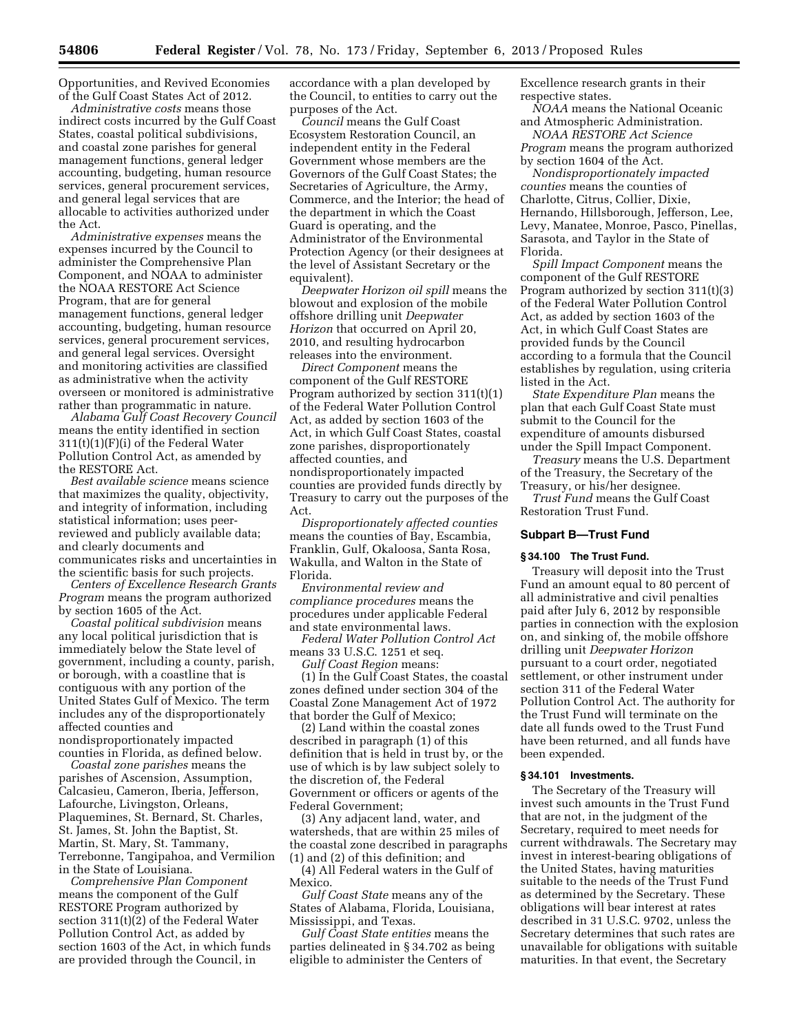Opportunities, and Revived Economies of the Gulf Coast States Act of 2012.

*Administrative costs* means those indirect costs incurred by the Gulf Coast States, coastal political subdivisions, and coastal zone parishes for general management functions, general ledger accounting, budgeting, human resource services, general procurement services, and general legal services that are allocable to activities authorized under the Act.

*Administrative expenses* means the expenses incurred by the Council to administer the Comprehensive Plan Component, and NOAA to administer the NOAA RESTORE Act Science Program, that are for general management functions, general ledger accounting, budgeting, human resource services, general procurement services, and general legal services. Oversight and monitoring activities are classified as administrative when the activity overseen or monitored is administrative rather than programmatic in nature.

*Alabama Gulf Coast Recovery Council*  means the entity identified in section 311(t)(1)(F)(i) of the Federal Water Pollution Control Act, as amended by the RESTORE Act.

*Best available science* means science that maximizes the quality, objectivity, and integrity of information, including statistical information; uses peerreviewed and publicly available data; and clearly documents and communicates risks and uncertainties in the scientific basis for such projects.

*Centers of Excellence Research Grants Program* means the program authorized by section 1605 of the Act.

*Coastal political subdivision* means any local political jurisdiction that is immediately below the State level of government, including a county, parish, or borough, with a coastline that is contiguous with any portion of the United States Gulf of Mexico. The term includes any of the disproportionately affected counties and nondisproportionately impacted

counties in Florida, as defined below. *Coastal zone parishes* means the parishes of Ascension, Assumption, Calcasieu, Cameron, Iberia, Jefferson, Lafourche, Livingston, Orleans, Plaquemines, St. Bernard, St. Charles, St. James, St. John the Baptist, St. Martin, St. Mary, St. Tammany, Terrebonne, Tangipahoa, and Vermilion in the State of Louisiana.

*Comprehensive Plan Component*  means the component of the Gulf RESTORE Program authorized by section 311(t)(2) of the Federal Water Pollution Control Act, as added by section 1603 of the Act, in which funds are provided through the Council, in

accordance with a plan developed by the Council, to entities to carry out the purposes of the Act.

*Council* means the Gulf Coast Ecosystem Restoration Council, an independent entity in the Federal Government whose members are the Governors of the Gulf Coast States; the Secretaries of Agriculture, the Army, Commerce, and the Interior; the head of the department in which the Coast Guard is operating, and the Administrator of the Environmental Protection Agency (or their designees at the level of Assistant Secretary or the equivalent).

*Deepwater Horizon oil spill* means the blowout and explosion of the mobile offshore drilling unit *Deepwater Horizon* that occurred on April 20, 2010, and resulting hydrocarbon releases into the environment.

*Direct Component* means the component of the Gulf RESTORE Program authorized by section 311(t)(1) of the Federal Water Pollution Control Act, as added by section 1603 of the Act, in which Gulf Coast States, coastal zone parishes, disproportionately affected counties, and nondisproportionately impacted counties are provided funds directly by Treasury to carry out the purposes of the Act.

*Disproportionately affected counties*  means the counties of Bay, Escambia, Franklin, Gulf, Okaloosa, Santa Rosa, Wakulla, and Walton in the State of Florida.

*Environmental review and compliance procedures* means the procedures under applicable Federal and state environmental laws.

*Federal Water Pollution Control Act*  means 33 U.S.C. 1251 et seq.

*Gulf Coast Region* means:

(1) In the Gulf Coast States, the coastal zones defined under section 304 of the Coastal Zone Management Act of 1972 that border the Gulf of Mexico;

(2) Land within the coastal zones described in paragraph (1) of this definition that is held in trust by, or the use of which is by law subject solely to the discretion of, the Federal Government or officers or agents of the Federal Government;

(3) Any adjacent land, water, and watersheds, that are within 25 miles of the coastal zone described in paragraphs (1) and (2) of this definition; and

(4) All Federal waters in the Gulf of Mexico.

*Gulf Coast State* means any of the States of Alabama, Florida, Louisiana, Mississippi, and Texas.

*Gulf Coast State entities* means the parties delineated in § 34.702 as being eligible to administer the Centers of

Excellence research grants in their respective states.

*NOAA* means the National Oceanic and Atmospheric Administration.

*NOAA RESTORE Act Science Program* means the program authorized by section 1604 of the Act.

*Nondisproportionately impacted counties* means the counties of Charlotte, Citrus, Collier, Dixie, Hernando, Hillsborough, Jefferson, Lee, Levy, Manatee, Monroe, Pasco, Pinellas, Sarasota, and Taylor in the State of Florida.

*Spill Impact Component* means the component of the Gulf RESTORE Program authorized by section 311(t)(3) of the Federal Water Pollution Control Act, as added by section 1603 of the Act, in which Gulf Coast States are provided funds by the Council according to a formula that the Council establishes by regulation, using criteria listed in the Act.

*State Expenditure Plan* means the plan that each Gulf Coast State must submit to the Council for the expenditure of amounts disbursed under the Spill Impact Component.

*Treasury* means the U.S. Department of the Treasury, the Secretary of the Treasury, or his/her designee.

*Trust Fund* means the Gulf Coast Restoration Trust Fund.

## **Subpart B—Trust Fund**

## **§ 34.100 The Trust Fund.**

Treasury will deposit into the Trust Fund an amount equal to 80 percent of all administrative and civil penalties paid after July 6, 2012 by responsible parties in connection with the explosion on, and sinking of, the mobile offshore drilling unit *Deepwater Horizon*  pursuant to a court order, negotiated settlement, or other instrument under section 311 of the Federal Water Pollution Control Act. The authority for the Trust Fund will terminate on the date all funds owed to the Trust Fund have been returned, and all funds have been expended.

## **§ 34.101 Investments.**

The Secretary of the Treasury will invest such amounts in the Trust Fund that are not, in the judgment of the Secretary, required to meet needs for current withdrawals. The Secretary may invest in interest-bearing obligations of the United States, having maturities suitable to the needs of the Trust Fund as determined by the Secretary. These obligations will bear interest at rates described in 31 U.S.C. 9702, unless the Secretary determines that such rates are unavailable for obligations with suitable maturities. In that event, the Secretary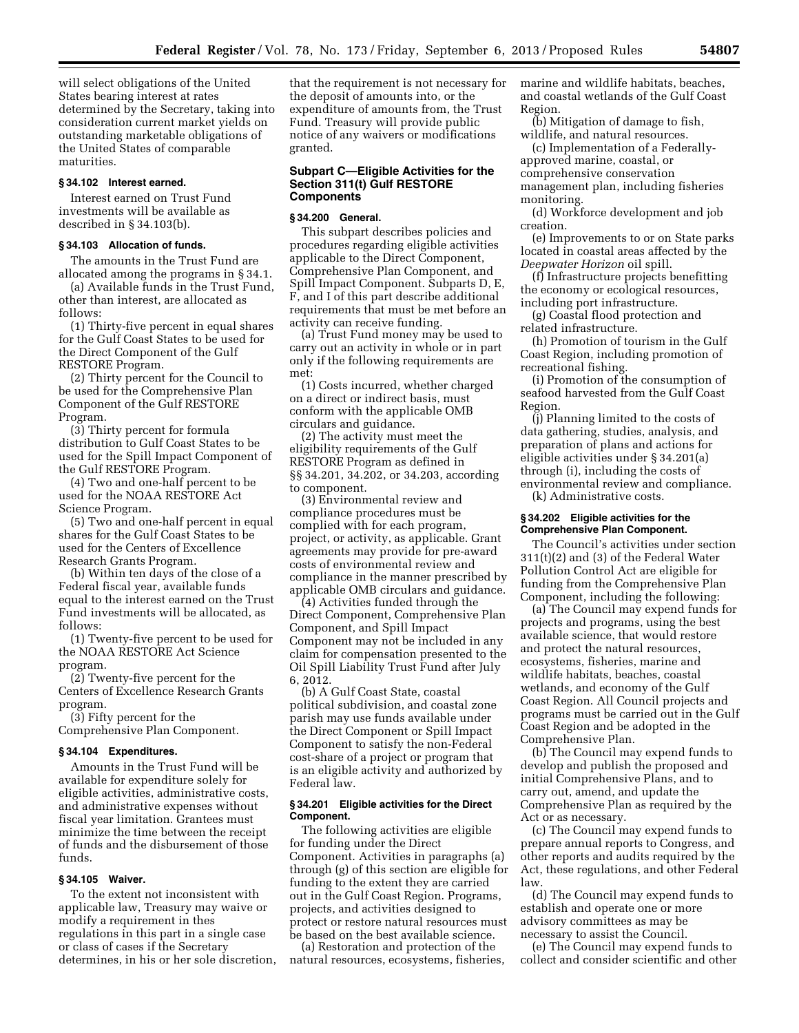will select obligations of the United States bearing interest at rates determined by the Secretary, taking into consideration current market yields on outstanding marketable obligations of the United States of comparable maturities.

### **§ 34.102 Interest earned.**

Interest earned on Trust Fund investments will be available as described in § 34.103(b).

## **§ 34.103 Allocation of funds.**

The amounts in the Trust Fund are allocated among the programs in § 34.1.

(a) Available funds in the Trust Fund, other than interest, are allocated as follows:

(1) Thirty-five percent in equal shares for the Gulf Coast States to be used for the Direct Component of the Gulf RESTORE Program.

(2) Thirty percent for the Council to be used for the Comprehensive Plan Component of the Gulf RESTORE Program.

(3) Thirty percent for formula distribution to Gulf Coast States to be used for the Spill Impact Component of the Gulf RESTORE Program.

(4) Two and one-half percent to be used for the NOAA RESTORE Act Science Program.

(5) Two and one-half percent in equal shares for the Gulf Coast States to be used for the Centers of Excellence Research Grants Program.

(b) Within ten days of the close of a Federal fiscal year, available funds equal to the interest earned on the Trust Fund investments will be allocated, as follows:

(1) Twenty-five percent to be used for the NOAA RESTORE Act Science program.

(2) Twenty-five percent for the Centers of Excellence Research Grants program.

(3) Fifty percent for the Comprehensive Plan Component.

### **§ 34.104 Expenditures.**

Amounts in the Trust Fund will be available for expenditure solely for eligible activities, administrative costs, and administrative expenses without fiscal year limitation. Grantees must minimize the time between the receipt of funds and the disbursement of those funds.

## **§ 34.105 Waiver.**

To the extent not inconsistent with applicable law, Treasury may waive or modify a requirement in thes regulations in this part in a single case or class of cases if the Secretary determines, in his or her sole discretion, that the requirement is not necessary for the deposit of amounts into, or the expenditure of amounts from, the Trust Fund. Treasury will provide public notice of any waivers or modifications granted.

### **Subpart C—Eligible Activities for the Section 311(t) Gulf RESTORE Components**

#### **§ 34.200 General.**

This subpart describes policies and procedures regarding eligible activities applicable to the Direct Component, Comprehensive Plan Component, and Spill Impact Component. Subparts D, E, F, and I of this part describe additional requirements that must be met before an activity can receive funding.

(a) Trust Fund money may be used to carry out an activity in whole or in part only if the following requirements are met:

(1) Costs incurred, whether charged on a direct or indirect basis, must conform with the applicable OMB circulars and guidance.

(2) The activity must meet the eligibility requirements of the Gulf RESTORE Program as defined in §§ 34.201, 34.202, or 34.203, according to component.

(3) Environmental review and compliance procedures must be complied with for each program, project, or activity, as applicable. Grant agreements may provide for pre-award costs of environmental review and compliance in the manner prescribed by applicable OMB circulars and guidance.

(4) Activities funded through the Direct Component, Comprehensive Plan Component, and Spill Impact Component may not be included in any claim for compensation presented to the Oil Spill Liability Trust Fund after July 6, 2012.

(b) A Gulf Coast State, coastal political subdivision, and coastal zone parish may use funds available under the Direct Component or Spill Impact Component to satisfy the non-Federal cost-share of a project or program that is an eligible activity and authorized by Federal law.

### **§ 34.201 Eligible activities for the Direct Component.**

The following activities are eligible for funding under the Direct Component. Activities in paragraphs (a) through (g) of this section are eligible for funding to the extent they are carried out in the Gulf Coast Region. Programs, projects, and activities designed to protect or restore natural resources must be based on the best available science.

(a) Restoration and protection of the natural resources, ecosystems, fisheries, marine and wildlife habitats, beaches, and coastal wetlands of the Gulf Coast Region.

(b) Mitigation of damage to fish, wildlife, and natural resources.

(c) Implementation of a Federallyapproved marine, coastal, or

comprehensive conservation management plan, including fisheries monitoring.

(d) Workforce development and job creation.

(e) Improvements to or on State parks located in coastal areas affected by the *Deepwater Horizon* oil spill.

(f) Infrastructure projects benefitting the economy or ecological resources, including port infrastructure.

(g) Coastal flood protection and related infrastructure.

(h) Promotion of tourism in the Gulf Coast Region, including promotion of recreational fishing.

(i) Promotion of the consumption of seafood harvested from the Gulf Coast Region.

(j) Planning limited to the costs of data gathering, studies, analysis, and preparation of plans and actions for eligible activities under § 34.201(a) through (i), including the costs of environmental review and compliance. (k) Administrative costs.

### **§ 34.202 Eligible activities for the Comprehensive Plan Component.**

The Council's activities under section 311(t)(2) and (3) of the Federal Water Pollution Control Act are eligible for funding from the Comprehensive Plan Component, including the following:

(a) The Council may expend funds for projects and programs, using the best available science, that would restore and protect the natural resources, ecosystems, fisheries, marine and wildlife habitats, beaches, coastal wetlands, and economy of the Gulf Coast Region. All Council projects and programs must be carried out in the Gulf Coast Region and be adopted in the Comprehensive Plan.

(b) The Council may expend funds to develop and publish the proposed and initial Comprehensive Plans, and to carry out, amend, and update the Comprehensive Plan as required by the Act or as necessary.

(c) The Council may expend funds to prepare annual reports to Congress, and other reports and audits required by the Act, these regulations, and other Federal law.

(d) The Council may expend funds to establish and operate one or more advisory committees as may be necessary to assist the Council.

(e) The Council may expend funds to collect and consider scientific and other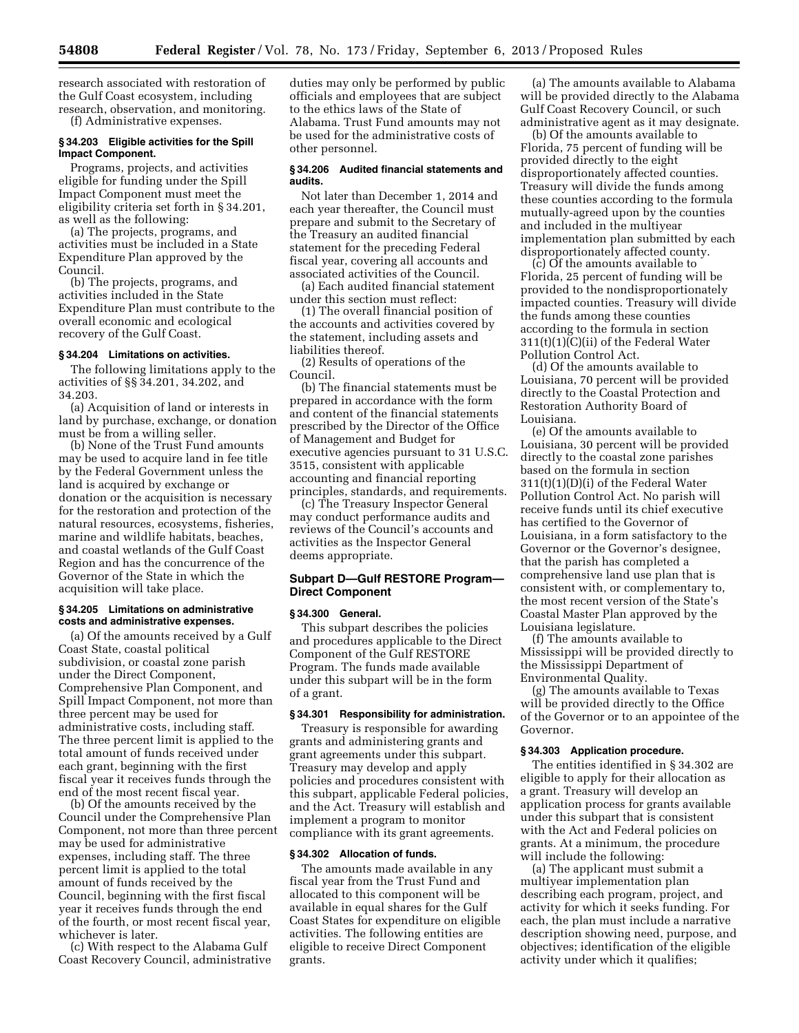research associated with restoration of the Gulf Coast ecosystem, including research, observation, and monitoring.

(f) Administrative expenses.

## **§ 34.203 Eligible activities for the Spill Impact Component.**

Programs, projects, and activities eligible for funding under the Spill Impact Component must meet the eligibility criteria set forth in § 34.201, as well as the following:

(a) The projects, programs, and activities must be included in a State Expenditure Plan approved by the Council.

(b) The projects, programs, and activities included in the State Expenditure Plan must contribute to the overall economic and ecological recovery of the Gulf Coast.

## **§ 34.204 Limitations on activities.**

The following limitations apply to the activities of §§ 34.201, 34.202, and 34.203.

(a) Acquisition of land or interests in land by purchase, exchange, or donation must be from a willing seller.

(b) None of the Trust Fund amounts may be used to acquire land in fee title by the Federal Government unless the land is acquired by exchange or donation or the acquisition is necessary for the restoration and protection of the natural resources, ecosystems, fisheries, marine and wildlife habitats, beaches, and coastal wetlands of the Gulf Coast Region and has the concurrence of the Governor of the State in which the acquisition will take place.

### **§ 34.205 Limitations on administrative costs and administrative expenses.**

(a) Of the amounts received by a Gulf Coast State, coastal political subdivision, or coastal zone parish under the Direct Component, Comprehensive Plan Component, and Spill Impact Component, not more than three percent may be used for administrative costs, including staff. The three percent limit is applied to the total amount of funds received under each grant, beginning with the first fiscal year it receives funds through the end of the most recent fiscal year.

(b) Of the amounts received by the Council under the Comprehensive Plan Component, not more than three percent may be used for administrative expenses, including staff. The three percent limit is applied to the total amount of funds received by the Council, beginning with the first fiscal year it receives funds through the end of the fourth, or most recent fiscal year, whichever is later.

(c) With respect to the Alabama Gulf Coast Recovery Council, administrative duties may only be performed by public officials and employees that are subject to the ethics laws of the State of Alabama. Trust Fund amounts may not be used for the administrative costs of other personnel.

### **§ 34.206 Audited financial statements and audits.**

Not later than December 1, 2014 and each year thereafter, the Council must prepare and submit to the Secretary of the Treasury an audited financial statement for the preceding Federal fiscal year, covering all accounts and associated activities of the Council.

(a) Each audited financial statement under this section must reflect:

(1) The overall financial position of the accounts and activities covered by the statement, including assets and liabilities thereof.

(2) Results of operations of the Council.

(b) The financial statements must be prepared in accordance with the form and content of the financial statements prescribed by the Director of the Office of Management and Budget for executive agencies pursuant to 31 U.S.C. 3515, consistent with applicable accounting and financial reporting principles, standards, and requirements.

(c) The Treasury Inspector General may conduct performance audits and reviews of the Council's accounts and activities as the Inspector General deems appropriate.

## **Subpart D—Gulf RESTORE Program— Direct Component**

### **§ 34.300 General.**

This subpart describes the policies and procedures applicable to the Direct Component of the Gulf RESTORE Program. The funds made available under this subpart will be in the form of a grant.

### **§ 34.301 Responsibility for administration.**

Treasury is responsible for awarding grants and administering grants and grant agreements under this subpart. Treasury may develop and apply policies and procedures consistent with this subpart, applicable Federal policies, and the Act. Treasury will establish and implement a program to monitor compliance with its grant agreements.

## **§ 34.302 Allocation of funds.**

The amounts made available in any fiscal year from the Trust Fund and allocated to this component will be available in equal shares for the Gulf Coast States for expenditure on eligible activities. The following entities are eligible to receive Direct Component grants.

(a) The amounts available to Alabama will be provided directly to the Alabama Gulf Coast Recovery Council, or such administrative agent as it may designate.

(b) Of the amounts available to Florida, 75 percent of funding will be provided directly to the eight disproportionately affected counties. Treasury will divide the funds among these counties according to the formula mutually-agreed upon by the counties and included in the multiyear implementation plan submitted by each disproportionately affected county.

(c) Of the amounts available to Florida, 25 percent of funding will be provided to the nondisproportionately impacted counties. Treasury will divide the funds among these counties according to the formula in section 311(t)(1)(C)(ii) of the Federal Water Pollution Control Act.

(d) Of the amounts available to Louisiana, 70 percent will be provided directly to the Coastal Protection and Restoration Authority Board of Louisiana.

(e) Of the amounts available to Louisiana, 30 percent will be provided directly to the coastal zone parishes based on the formula in section 311(t)(1)(D)(i) of the Federal Water Pollution Control Act. No parish will receive funds until its chief executive has certified to the Governor of Louisiana, in a form satisfactory to the Governor or the Governor's designee, that the parish has completed a comprehensive land use plan that is consistent with, or complementary to, the most recent version of the State's Coastal Master Plan approved by the Louisiana legislature.

(f) The amounts available to Mississippi will be provided directly to the Mississippi Department of Environmental Quality.

(g) The amounts available to Texas will be provided directly to the Office of the Governor or to an appointee of the Governor.

### **§ 34.303 Application procedure.**

The entities identified in § 34.302 are eligible to apply for their allocation as a grant. Treasury will develop an application process for grants available under this subpart that is consistent with the Act and Federal policies on grants. At a minimum, the procedure will include the following:

(a) The applicant must submit a multiyear implementation plan describing each program, project, and activity for which it seeks funding. For each, the plan must include a narrative description showing need, purpose, and objectives; identification of the eligible activity under which it qualifies;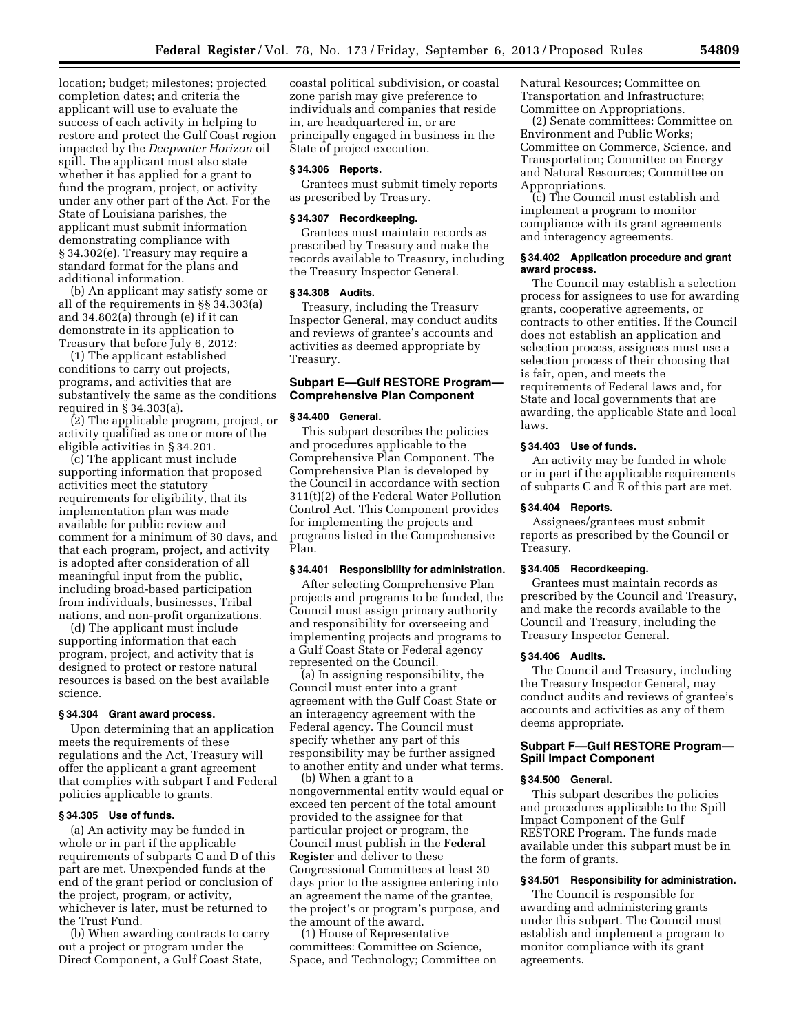location; budget; milestones; projected completion dates; and criteria the applicant will use to evaluate the success of each activity in helping to restore and protect the Gulf Coast region impacted by the *Deepwater Horizon* oil spill. The applicant must also state whether it has applied for a grant to fund the program, project, or activity under any other part of the Act. For the State of Louisiana parishes, the applicant must submit information demonstrating compliance with § 34.302(e). Treasury may require a standard format for the plans and additional information.

(b) An applicant may satisfy some or all of the requirements in §§ 34.303(a) and 34.802(a) through (e) if it can demonstrate in its application to Treasury that before July 6, 2012:

(1) The applicant established conditions to carry out projects, programs, and activities that are substantively the same as the conditions required in § 34.303(a).

(2) The applicable program, project, or activity qualified as one or more of the eligible activities in § 34.201.

(c) The applicant must include supporting information that proposed activities meet the statutory requirements for eligibility, that its implementation plan was made available for public review and comment for a minimum of 30 days, and that each program, project, and activity is adopted after consideration of all meaningful input from the public, including broad-based participation from individuals, businesses, Tribal nations, and non-profit organizations.

(d) The applicant must include supporting information that each program, project, and activity that is designed to protect or restore natural resources is based on the best available science.

### **§ 34.304 Grant award process.**

Upon determining that an application meets the requirements of these regulations and the Act, Treasury will offer the applicant a grant agreement that complies with subpart I and Federal policies applicable to grants.

## **§ 34.305 Use of funds.**

(a) An activity may be funded in whole or in part if the applicable requirements of subparts C and D of this part are met. Unexpended funds at the end of the grant period or conclusion of the project, program, or activity, whichever is later, must be returned to the Trust Fund.

(b) When awarding contracts to carry out a project or program under the Direct Component, a Gulf Coast State,

coastal political subdivision, or coastal zone parish may give preference to individuals and companies that reside in, are headquartered in, or are principally engaged in business in the State of project execution.

### **§ 34.306 Reports.**

Grantees must submit timely reports as prescribed by Treasury.

## **§ 34.307 Recordkeeping.**

Grantees must maintain records as prescribed by Treasury and make the records available to Treasury, including the Treasury Inspector General.

### **§ 34.308 Audits.**

Treasury, including the Treasury Inspector General, may conduct audits and reviews of grantee's accounts and activities as deemed appropriate by Treasury.

## **Subpart E—Gulf RESTORE Program— Comprehensive Plan Component**

## **§ 34.400 General.**

This subpart describes the policies and procedures applicable to the Comprehensive Plan Component. The Comprehensive Plan is developed by the Council in accordance with section 311(t)(2) of the Federal Water Pollution Control Act. This Component provides for implementing the projects and programs listed in the Comprehensive Plan.

### **§ 34.401 Responsibility for administration.**

After selecting Comprehensive Plan projects and programs to be funded, the Council must assign primary authority and responsibility for overseeing and implementing projects and programs to a Gulf Coast State or Federal agency represented on the Council.

(a) In assigning responsibility, the Council must enter into a grant agreement with the Gulf Coast State or an interagency agreement with the Federal agency. The Council must specify whether any part of this responsibility may be further assigned to another entity and under what terms.

(b) When a grant to a nongovernmental entity would equal or exceed ten percent of the total amount provided to the assignee for that particular project or program, the Council must publish in the **Federal Register** and deliver to these Congressional Committees at least 30 days prior to the assignee entering into an agreement the name of the grantee, the project's or program's purpose, and the amount of the award.

(1) House of Representative committees: Committee on Science, Space, and Technology; Committee on Natural Resources; Committee on Transportation and Infrastructure; Committee on Appropriations.

(2) Senate committees: Committee on Environment and Public Works; Committee on Commerce, Science, and Transportation; Committee on Energy and Natural Resources; Committee on Appropriations.

(c) The Council must establish and implement a program to monitor compliance with its grant agreements and interagency agreements.

### **§ 34.402 Application procedure and grant award process.**

The Council may establish a selection process for assignees to use for awarding grants, cooperative agreements, or contracts to other entities. If the Council does not establish an application and selection process, assignees must use a selection process of their choosing that is fair, open, and meets the requirements of Federal laws and, for State and local governments that are awarding, the applicable State and local laws.

### **§ 34.403 Use of funds.**

An activity may be funded in whole or in part if the applicable requirements of subparts C and E of this part are met.

#### **§ 34.404 Reports.**

Assignees/grantees must submit reports as prescribed by the Council or Treasury.

## **§ 34.405 Recordkeeping.**

Grantees must maintain records as prescribed by the Council and Treasury, and make the records available to the Council and Treasury, including the Treasury Inspector General.

#### **§ 34.406 Audits.**

The Council and Treasury, including the Treasury Inspector General, may conduct audits and reviews of grantee's accounts and activities as any of them deems appropriate.

## **Subpart F—Gulf RESTORE Program— Spill Impact Component**

### **§ 34.500 General.**

This subpart describes the policies and procedures applicable to the Spill Impact Component of the Gulf RESTORE Program. The funds made available under this subpart must be in the form of grants.

### **§ 34.501 Responsibility for administration.**

The Council is responsible for awarding and administering grants under this subpart. The Council must establish and implement a program to monitor compliance with its grant agreements.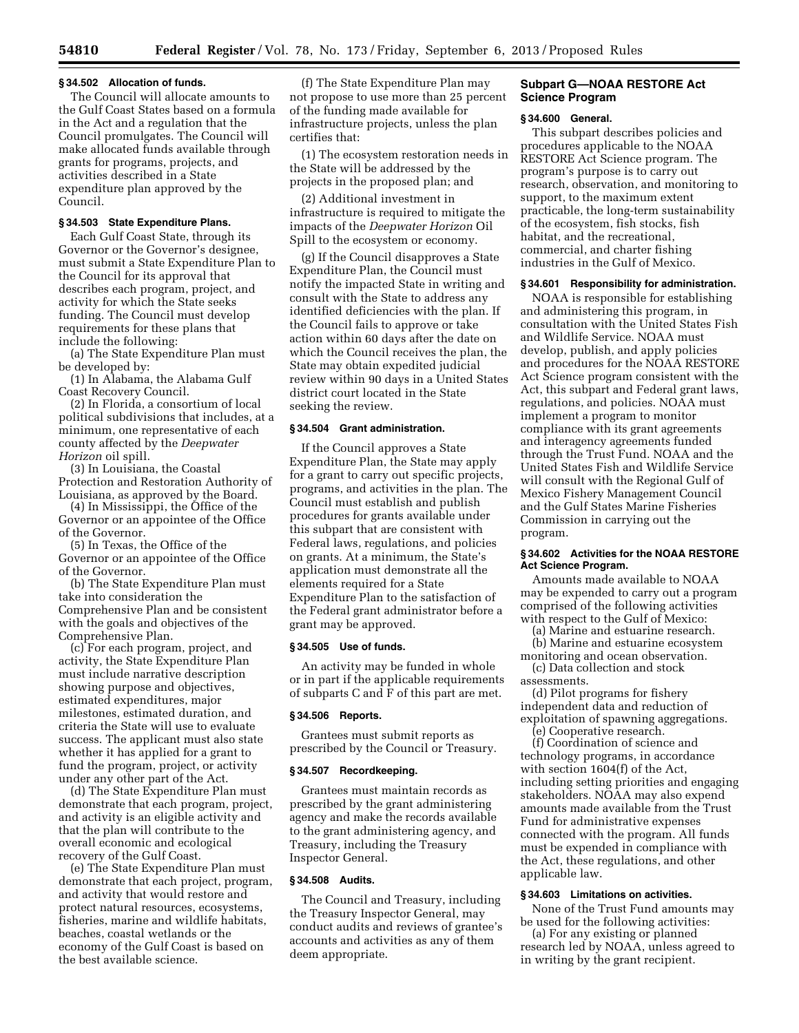#### **§ 34.502 Allocation of funds.**

The Council will allocate amounts to the Gulf Coast States based on a formula in the Act and a regulation that the Council promulgates. The Council will make allocated funds available through grants for programs, projects, and activities described in a State expenditure plan approved by the Council.

### **§ 34.503 State Expenditure Plans.**

Each Gulf Coast State, through its Governor or the Governor's designee, must submit a State Expenditure Plan to the Council for its approval that describes each program, project, and activity for which the State seeks funding. The Council must develop requirements for these plans that include the following:

(a) The State Expenditure Plan must be developed by:

(1) In Alabama, the Alabama Gulf Coast Recovery Council.

(2) In Florida, a consortium of local political subdivisions that includes, at a minimum, one representative of each county affected by the *Deepwater Horizon* oil spill.

(3) In Louisiana, the Coastal Protection and Restoration Authority of Louisiana, as approved by the Board.

(4) In Mississippi, the Office of the Governor or an appointee of the Office of the Governor.

(5) In Texas, the Office of the Governor or an appointee of the Office of the Governor.

(b) The State Expenditure Plan must take into consideration the Comprehensive Plan and be consistent with the goals and objectives of the Comprehensive Plan.

(c) For each program, project, and activity, the State Expenditure Plan must include narrative description showing purpose and objectives, estimated expenditures, major milestones, estimated duration, and criteria the State will use to evaluate success. The applicant must also state whether it has applied for a grant to fund the program, project, or activity under any other part of the Act.

(d) The State Expenditure Plan must demonstrate that each program, project, and activity is an eligible activity and that the plan will contribute to the overall economic and ecological recovery of the Gulf Coast.

(e) The State Expenditure Plan must demonstrate that each project, program, and activity that would restore and protect natural resources, ecosystems, fisheries, marine and wildlife habitats, beaches, coastal wetlands or the economy of the Gulf Coast is based on the best available science.

(f) The State Expenditure Plan may not propose to use more than 25 percent of the funding made available for infrastructure projects, unless the plan certifies that:

(1) The ecosystem restoration needs in the State will be addressed by the projects in the proposed plan; and

(2) Additional investment in infrastructure is required to mitigate the impacts of the *Deepwater Horizon* Oil Spill to the ecosystem or economy.

(g) If the Council disapproves a State Expenditure Plan, the Council must notify the impacted State in writing and consult with the State to address any identified deficiencies with the plan. If the Council fails to approve or take action within 60 days after the date on which the Council receives the plan, the State may obtain expedited judicial review within 90 days in a United States district court located in the State seeking the review.

## **§ 34.504 Grant administration.**

If the Council approves a State Expenditure Plan, the State may apply for a grant to carry out specific projects, programs, and activities in the plan. The Council must establish and publish procedures for grants available under this subpart that are consistent with Federal laws, regulations, and policies on grants. At a minimum, the State's application must demonstrate all the elements required for a State Expenditure Plan to the satisfaction of the Federal grant administrator before a grant may be approved.

### **§ 34.505 Use of funds.**

An activity may be funded in whole or in part if the applicable requirements of subparts C and F of this part are met.

### **§ 34.506 Reports.**

Grantees must submit reports as prescribed by the Council or Treasury.

#### **§ 34.507 Recordkeeping.**

Grantees must maintain records as prescribed by the grant administering agency and make the records available to the grant administering agency, and Treasury, including the Treasury Inspector General.

### **§ 34.508 Audits.**

The Council and Treasury, including the Treasury Inspector General, may conduct audits and reviews of grantee's accounts and activities as any of them deem appropriate.

## **Subpart G—NOAA RESTORE Act Science Program**

#### **§ 34.600 General.**

This subpart describes policies and procedures applicable to the NOAA RESTORE Act Science program. The program's purpose is to carry out research, observation, and monitoring to support, to the maximum extent practicable, the long-term sustainability of the ecosystem, fish stocks, fish habitat, and the recreational, commercial, and charter fishing industries in the Gulf of Mexico.

### **§ 34.601 Responsibility for administration.**

NOAA is responsible for establishing and administering this program, in consultation with the United States Fish and Wildlife Service. NOAA must develop, publish, and apply policies and procedures for the NOAA RESTORE Act Science program consistent with the Act, this subpart and Federal grant laws, regulations, and policies. NOAA must implement a program to monitor compliance with its grant agreements and interagency agreements funded through the Trust Fund. NOAA and the United States Fish and Wildlife Service will consult with the Regional Gulf of Mexico Fishery Management Council and the Gulf States Marine Fisheries Commission in carrying out the program.

### **§ 34.602 Activities for the NOAA RESTORE Act Science Program.**

Amounts made available to NOAA may be expended to carry out a program comprised of the following activities with respect to the Gulf of Mexico:

(a) Marine and estuarine research.

(b) Marine and estuarine ecosystem monitoring and ocean observation.

(c) Data collection and stock assessments.

(d) Pilot programs for fishery independent data and reduction of exploitation of spawning aggregations.

(e) Cooperative research. (f) Coordination of science and technology programs, in accordance with section 1604(f) of the Act, including setting priorities and engaging stakeholders. NOAA may also expend amounts made available from the Trust Fund for administrative expenses connected with the program. All funds

### **§ 34.603 Limitations on activities.**

applicable law.

None of the Trust Fund amounts may be used for the following activities:

must be expended in compliance with the Act, these regulations, and other

(a) For any existing or planned research led by NOAA, unless agreed to in writing by the grant recipient.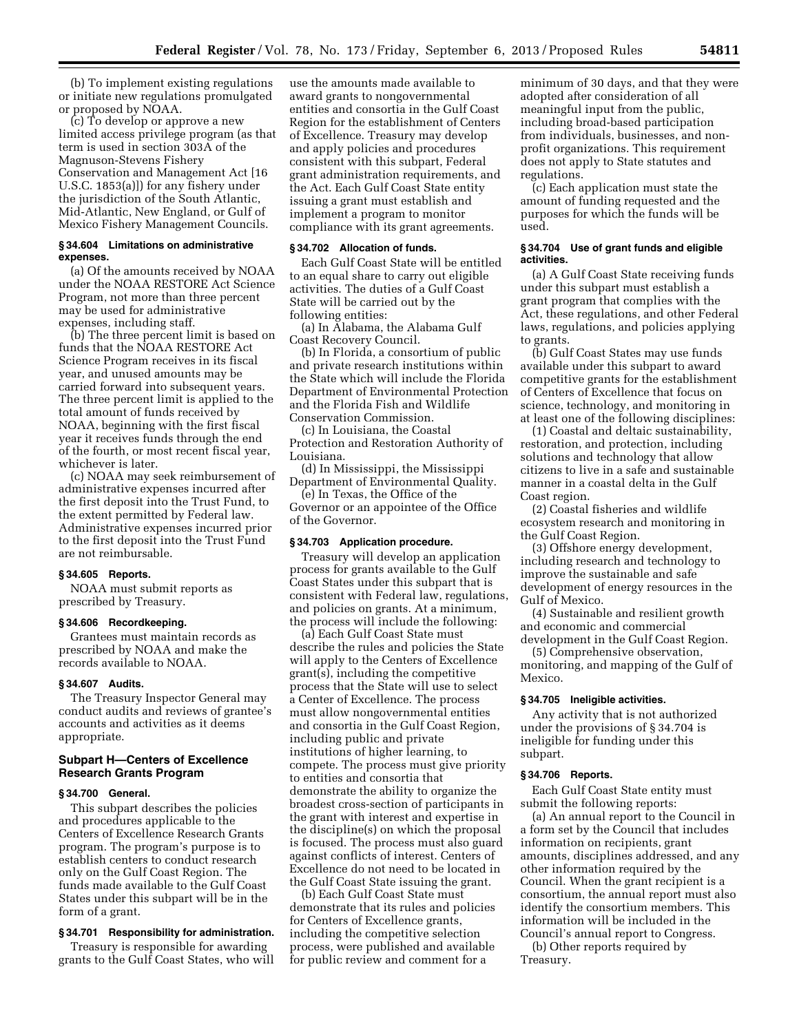(b) To implement existing regulations or initiate new regulations promulgated or proposed by NOAA.

(c) To develop or approve a new limited access privilege program (as that term is used in section 303A of the Magnuson-Stevens Fishery Conservation and Management Act [16 U.S.C. 1853(a)]) for any fishery under the jurisdiction of the South Atlantic, Mid-Atlantic, New England, or Gulf of Mexico Fishery Management Councils.

## **§ 34.604 Limitations on administrative expenses.**

(a) Of the amounts received by NOAA under the NOAA RESTORE Act Science Program, not more than three percent may be used for administrative expenses, including staff.

(b) The three percent limit is based on funds that the NOAA RESTORE Act Science Program receives in its fiscal year, and unused amounts may be carried forward into subsequent years. The three percent limit is applied to the total amount of funds received by NOAA, beginning with the first fiscal year it receives funds through the end of the fourth, or most recent fiscal year, whichever is later.

(c) NOAA may seek reimbursement of administrative expenses incurred after the first deposit into the Trust Fund, to the extent permitted by Federal law. Administrative expenses incurred prior to the first deposit into the Trust Fund are not reimbursable.

## **§ 34.605 Reports.**

NOAA must submit reports as prescribed by Treasury.

## **§ 34.606 Recordkeeping.**

Grantees must maintain records as prescribed by NOAA and make the records available to NOAA.

#### **§ 34.607 Audits.**

The Treasury Inspector General may conduct audits and reviews of grantee's accounts and activities as it deems appropriate.

## **Subpart H—Centers of Excellence Research Grants Program**

### **§ 34.700 General.**

This subpart describes the policies and procedures applicable to the Centers of Excellence Research Grants program. The program's purpose is to establish centers to conduct research only on the Gulf Coast Region. The funds made available to the Gulf Coast States under this subpart will be in the form of a grant.

### **§ 34.701 Responsibility for administration.**

Treasury is responsible for awarding grants to the Gulf Coast States, who will

use the amounts made available to award grants to nongovernmental entities and consortia in the Gulf Coast Region for the establishment of Centers of Excellence. Treasury may develop and apply policies and procedures consistent with this subpart, Federal grant administration requirements, and the Act. Each Gulf Coast State entity issuing a grant must establish and implement a program to monitor compliance with its grant agreements.

### **§ 34.702 Allocation of funds.**

Each Gulf Coast State will be entitled to an equal share to carry out eligible activities. The duties of a Gulf Coast State will be carried out by the following entities:

(a) In Alabama, the Alabama Gulf Coast Recovery Council.

(b) In Florida, a consortium of public and private research institutions within the State which will include the Florida Department of Environmental Protection and the Florida Fish and Wildlife Conservation Commission.

(c) In Louisiana, the Coastal Protection and Restoration Authority of Louisiana.

(d) In Mississippi, the Mississippi Department of Environmental Quality.

(e) In Texas, the Office of the Governor or an appointee of the Office of the Governor.

### **§ 34.703 Application procedure.**

Treasury will develop an application process for grants available to the Gulf Coast States under this subpart that is consistent with Federal law, regulations, and policies on grants. At a minimum, the process will include the following:

(a) Each Gulf Coast State must describe the rules and policies the State will apply to the Centers of Excellence grant(s), including the competitive process that the State will use to select a Center of Excellence. The process must allow nongovernmental entities and consortia in the Gulf Coast Region, including public and private institutions of higher learning, to compete. The process must give priority to entities and consortia that demonstrate the ability to organize the broadest cross-section of participants in the grant with interest and expertise in the discipline(s) on which the proposal is focused. The process must also guard against conflicts of interest. Centers of Excellence do not need to be located in the Gulf Coast State issuing the grant.

(b) Each Gulf Coast State must demonstrate that its rules and policies for Centers of Excellence grants, including the competitive selection process, were published and available for public review and comment for a

minimum of 30 days, and that they were adopted after consideration of all meaningful input from the public, including broad-based participation from individuals, businesses, and nonprofit organizations. This requirement does not apply to State statutes and regulations.

(c) Each application must state the amount of funding requested and the purposes for which the funds will be used.

## **§ 34.704 Use of grant funds and eligible activities.**

(a) A Gulf Coast State receiving funds under this subpart must establish a grant program that complies with the Act, these regulations, and other Federal laws, regulations, and policies applying to grants.

(b) Gulf Coast States may use funds available under this subpart to award competitive grants for the establishment of Centers of Excellence that focus on science, technology, and monitoring in at least one of the following disciplines:

(1) Coastal and deltaic sustainability, restoration, and protection, including solutions and technology that allow citizens to live in a safe and sustainable manner in a coastal delta in the Gulf Coast region.

(2) Coastal fisheries and wildlife ecosystem research and monitoring in the Gulf Coast Region.

(3) Offshore energy development, including research and technology to improve the sustainable and safe development of energy resources in the Gulf of Mexico.

(4) Sustainable and resilient growth and economic and commercial development in the Gulf Coast Region.

(5) Comprehensive observation, monitoring, and mapping of the Gulf of Mexico.

### **§ 34.705 Ineligible activities.**

Any activity that is not authorized under the provisions of § 34.704 is ineligible for funding under this subpart.

### **§ 34.706 Reports.**

Each Gulf Coast State entity must submit the following reports:

(a) An annual report to the Council in a form set by the Council that includes information on recipients, grant amounts, disciplines addressed, and any other information required by the Council. When the grant recipient is a consortium, the annual report must also identify the consortium members. This information will be included in the Council's annual report to Congress.

(b) Other reports required by Treasury.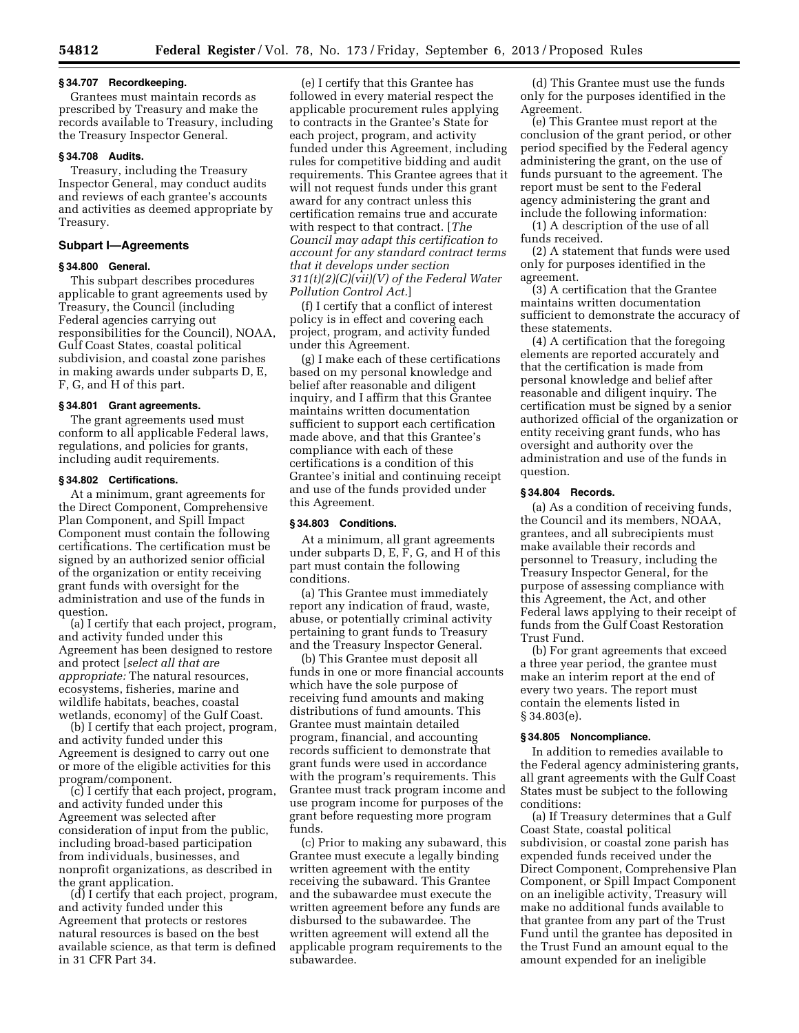## **§ 34.707 Recordkeeping.**

Grantees must maintain records as prescribed by Treasury and make the records available to Treasury, including the Treasury Inspector General.

## **§ 34.708 Audits.**

Treasury, including the Treasury Inspector General, may conduct audits and reviews of each grantee's accounts and activities as deemed appropriate by Treasury.

## **Subpart I—Agreements**

### **§ 34.800 General.**

This subpart describes procedures applicable to grant agreements used by Treasury, the Council (including Federal agencies carrying out responsibilities for the Council), NOAA, Gulf Coast States, coastal political subdivision, and coastal zone parishes in making awards under subparts D, E, F, G, and H of this part.

## **§ 34.801 Grant agreements.**

The grant agreements used must conform to all applicable Federal laws, regulations, and policies for grants, including audit requirements.

#### **§ 34.802 Certifications.**

At a minimum, grant agreements for the Direct Component, Comprehensive Plan Component, and Spill Impact Component must contain the following certifications. The certification must be signed by an authorized senior official of the organization or entity receiving grant funds with oversight for the administration and use of the funds in question.

(a) I certify that each project, program, and activity funded under this Agreement has been designed to restore and protect [*select all that are appropriate:* The natural resources, ecosystems, fisheries, marine and wildlife habitats, beaches, coastal wetlands, economy] of the Gulf Coast.

(b) I certify that each project, program, and activity funded under this Agreement is designed to carry out one or more of the eligible activities for this program/component.

(c) I certify that each project, program, and activity funded under this Agreement was selected after consideration of input from the public, including broad-based participation from individuals, businesses, and nonprofit organizations, as described in the grant application.

(d) I certify that each project, program, and activity funded under this Agreement that protects or restores natural resources is based on the best available science, as that term is defined in 31 CFR Part 34.

(e) I certify that this Grantee has followed in every material respect the applicable procurement rules applying to contracts in the Grantee's State for each project, program, and activity funded under this Agreement, including rules for competitive bidding and audit requirements. This Grantee agrees that it will not request funds under this grant award for any contract unless this certification remains true and accurate with respect to that contract. [*The Council may adapt this certification to account for any standard contract terms that it develops under section 311(t)(2)(C)(vii)(V) of the Federal Water Pollution Control Act.*]

(f) I certify that a conflict of interest policy is in effect and covering each project, program, and activity funded under this Agreement.

(g) I make each of these certifications based on my personal knowledge and belief after reasonable and diligent inquiry, and I affirm that this Grantee maintains written documentation sufficient to support each certification made above, and that this Grantee's compliance with each of these certifications is a condition of this Grantee's initial and continuing receipt and use of the funds provided under this Agreement.

### **§ 34.803 Conditions.**

At a minimum, all grant agreements under subparts D, E, F, G, and H of this part must contain the following conditions.

(a) This Grantee must immediately report any indication of fraud, waste, abuse, or potentially criminal activity pertaining to grant funds to Treasury and the Treasury Inspector General.

(b) This Grantee must deposit all funds in one or more financial accounts which have the sole purpose of receiving fund amounts and making distributions of fund amounts. This Grantee must maintain detailed program, financial, and accounting records sufficient to demonstrate that grant funds were used in accordance with the program's requirements. This Grantee must track program income and use program income for purposes of the grant before requesting more program funds.

(c) Prior to making any subaward, this Grantee must execute a legally binding written agreement with the entity receiving the subaward. This Grantee and the subawardee must execute the written agreement before any funds are disbursed to the subawardee. The written agreement will extend all the applicable program requirements to the subawardee.

(d) This Grantee must use the funds only for the purposes identified in the Agreement.

(e) This Grantee must report at the conclusion of the grant period, or other period specified by the Federal agency administering the grant, on the use of funds pursuant to the agreement. The report must be sent to the Federal agency administering the grant and include the following information:

(1) A description of the use of all funds received.

(2) A statement that funds were used only for purposes identified in the agreement.

(3) A certification that the Grantee maintains written documentation sufficient to demonstrate the accuracy of these statements.

(4) A certification that the foregoing elements are reported accurately and that the certification is made from personal knowledge and belief after reasonable and diligent inquiry. The certification must be signed by a senior authorized official of the organization or entity receiving grant funds, who has oversight and authority over the administration and use of the funds in question.

## **§ 34.804 Records.**

(a) As a condition of receiving funds, the Council and its members, NOAA, grantees, and all subrecipients must make available their records and personnel to Treasury, including the Treasury Inspector General, for the purpose of assessing compliance with this Agreement, the Act, and other Federal laws applying to their receipt of funds from the Gulf Coast Restoration Trust Fund.

(b) For grant agreements that exceed a three year period, the grantee must make an interim report at the end of every two years. The report must contain the elements listed in § 34.803(e).

### **§ 34.805 Noncompliance.**

In addition to remedies available to the Federal agency administering grants, all grant agreements with the Gulf Coast States must be subject to the following conditions:

(a) If Treasury determines that a Gulf Coast State, coastal political subdivision, or coastal zone parish has expended funds received under the Direct Component, Comprehensive Plan Component, or Spill Impact Component on an ineligible activity, Treasury will make no additional funds available to that grantee from any part of the Trust Fund until the grantee has deposited in the Trust Fund an amount equal to the amount expended for an ineligible